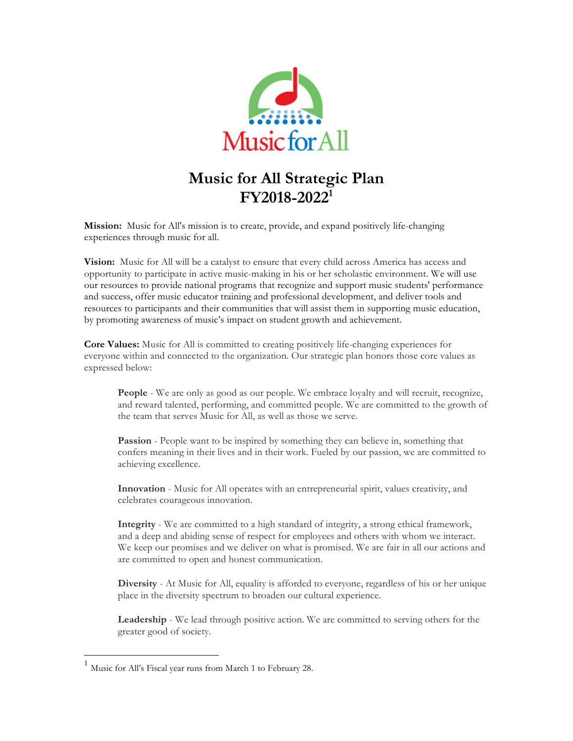

# **Music for All Strategic Plan FY2018-20221**

**Mission:** Music for All's mission is to create, provide, and expand positively life-changing experiences through music for all.

**Vision:** Music for All will be a catalyst to ensure that every child across America has access and opportunity to participate in active music-making in his or her scholastic environment. We will use our resources to provide national programs that recognize and support music students' performance and success, offer music educator training and professional development, and deliver tools and resources to participants and their communities that will assist them in supporting music education, by promoting awareness of music's impact on student growth and achievement.

**Core Values:** Music for All is committed to creating positively life-changing experiences for everyone within and connected to the organization. Our strategic plan honors those core values as expressed below:

**People** - We are only as good as our people. We embrace loyalty and will recruit, recognize, and reward talented, performing, and committed people. We are committed to the growth of the team that serves Music for All, as well as those we serve.

**Passion** - People want to be inspired by something they can believe in, something that confers meaning in their lives and in their work. Fueled by our passion, we are committed to achieving excellence.

**Innovation** - Music for All operates with an entrepreneurial spirit, values creativity, and celebrates courageous innovation.

**Integrity** - We are committed to a high standard of integrity, a strong ethical framework, and a deep and abiding sense of respect for employees and others with whom we interact. We keep our promises and we deliver on what is promised. We are fair in all our actions and are committed to open and honest communication.

**Diversity** - At Music for All, equality is afforded to everyone, regardless of his or her unique place in the diversity spectrum to broaden our cultural experience.

**Leadership** - We lead through positive action. We are committed to serving others for the greater good of society.

 <sup>1</sup> Music for All's Fiscal year runs from March 1 to February 28.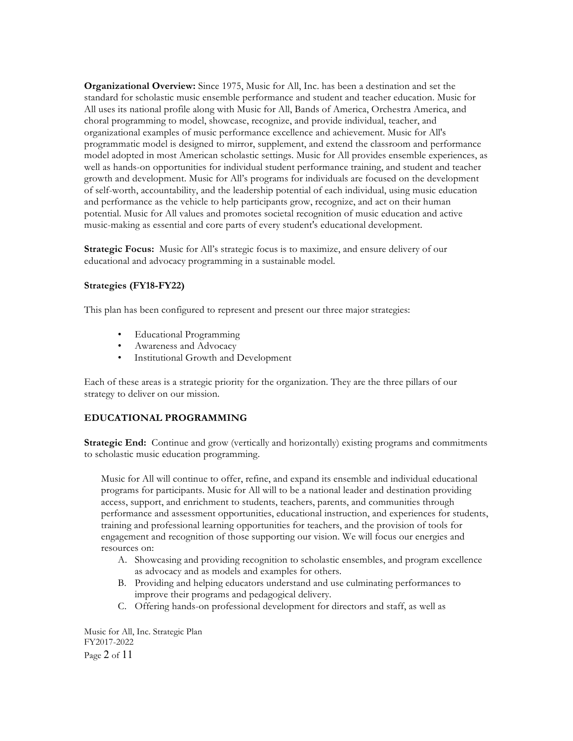**Organizational Overview:** Since 1975, Music for All, Inc. has been a destination and set the standard for scholastic music ensemble performance and student and teacher education. Music for All uses its national profile along with Music for All, Bands of America, Orchestra America, and choral programming to model, showcase, recognize, and provide individual, teacher, and organizational examples of music performance excellence and achievement. Music for All's programmatic model is designed to mirror, supplement, and extend the classroom and performance model adopted in most American scholastic settings. Music for All provides ensemble experiences, as well as hands-on opportunities for individual student performance training, and student and teacher growth and development. Music for All's programs for individuals are focused on the development of self-worth, accountability, and the leadership potential of each individual, using music education and performance as the vehicle to help participants grow, recognize, and act on their human potential. Music for All values and promotes societal recognition of music education and active music-making as essential and core parts of every student's educational development.

**Strategic Focus:** Music for All's strategic focus is to maximize, and ensure delivery of our educational and advocacy programming in a sustainable model.

## **Strategies (FY18-FY22)**

This plan has been configured to represent and present our three major strategies:

- Educational Programming
- Awareness and Advocacy
- Institutional Growth and Development

Each of these areas is a strategic priority for the organization. They are the three pillars of our strategy to deliver on our mission.

## **EDUCATIONAL PROGRAMMING**

**Strategic End:** Continue and grow (vertically and horizontally) existing programs and commitments to scholastic music education programming.

Music for All will continue to offer, refine, and expand its ensemble and individual educational programs for participants. Music for All will to be a national leader and destination providing access, support, and enrichment to students, teachers, parents, and communities through performance and assessment opportunities, educational instruction, and experiences for students, training and professional learning opportunities for teachers, and the provision of tools for engagement and recognition of those supporting our vision. We will focus our energies and resources on:

- A. Showcasing and providing recognition to scholastic ensembles, and program excellence as advocacy and as models and examples for others.
- B. Providing and helping educators understand and use culminating performances to improve their programs and pedagogical delivery.
- C. Offering hands-on professional development for directors and staff, as well as

Music for All, Inc. Strategic Plan FY2017-2022 Page 2 of 11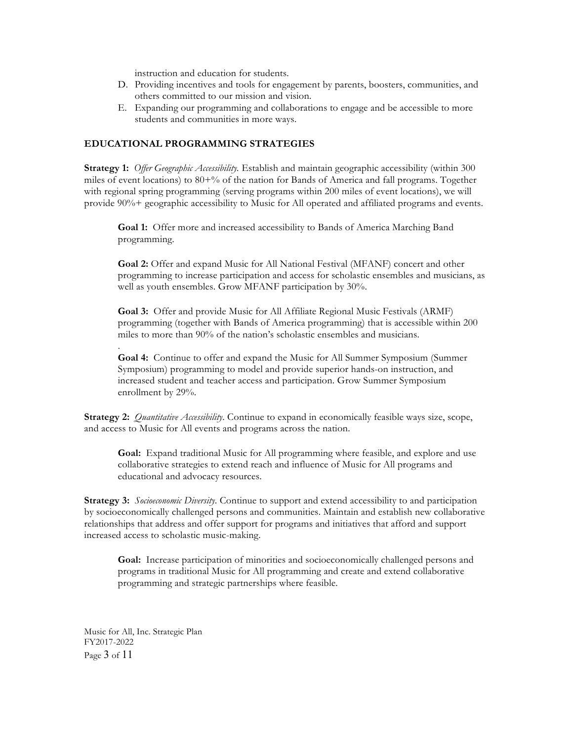instruction and education for students.

- D. Providing incentives and tools for engagement by parents, boosters, communities, and others committed to our mission and vision.
- E. Expanding our programming and collaborations to engage and be accessible to more students and communities in more ways.

#### **EDUCATIONAL PROGRAMMING STRATEGIES**

**Strategy 1:** *Offer Geographic Accessibility.* Establish and maintain geographic accessibility (within 300 miles of event locations) to 80+% of the nation for Bands of America and fall programs. Together with regional spring programming (serving programs within 200 miles of event locations), we will provide 90%+ geographic accessibility to Music for All operated and affiliated programs and events.

**Goal 1:** Offer more and increased accessibility to Bands of America Marching Band programming.

**Goal 2:** Offer and expand Music for All National Festival (MFANF) concert and other programming to increase participation and access for scholastic ensembles and musicians, as well as youth ensembles. Grow MFANF participation by 30%.

**Goal 3:** Offer and provide Music for All Affiliate Regional Music Festivals (ARMF) programming (together with Bands of America programming) that is accessible within 200 miles to more than 90% of the nation's scholastic ensembles and musicians.

**Goal 4:** Continue to offer and expand the Music for All Summer Symposium (Summer Symposium) programming to model and provide superior hands-on instruction, and increased student and teacher access and participation. Grow Summer Symposium enrollment by 29%.

**Strategy 2:** *Quantitative Accessibility*. Continue to expand in economically feasible ways size, scope, and access to Music for All events and programs across the nation.

**Goal:** Expand traditional Music for All programming where feasible, and explore and use collaborative strategies to extend reach and influence of Music for All programs and educational and advocacy resources.

**Strategy 3:** *Socioeconomic Diversity*. Continue to support and extend accessibility to and participation by socioeconomically challenged persons and communities. Maintain and establish new collaborative relationships that address and offer support for programs and initiatives that afford and support increased access to scholastic music-making.

**Goal:** Increase participation of minorities and socioeconomically challenged persons and programs in traditional Music for All programming and create and extend collaborative programming and strategic partnerships where feasible.

Music for All, Inc. Strategic Plan FY2017-2022 Page 3 of 11

.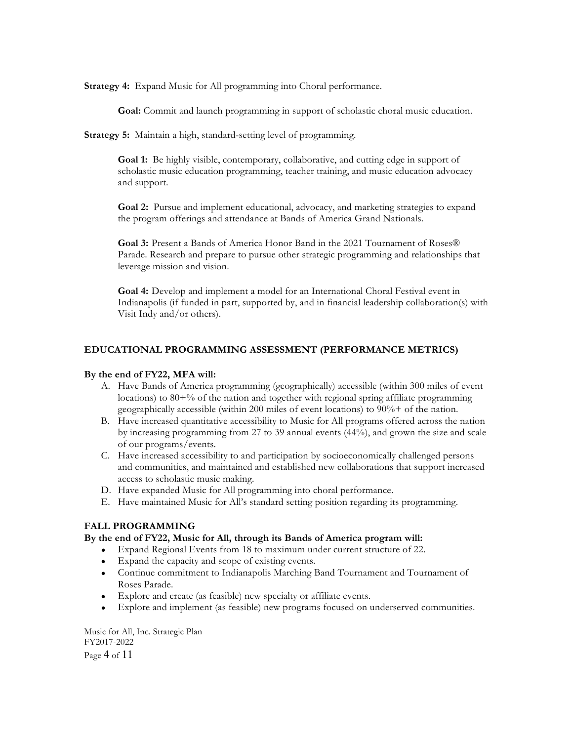**Strategy 4:** Expand Music for All programming into Choral performance.

**Goal:** Commit and launch programming in support of scholastic choral music education.

**Strategy 5:** Maintain a high, standard-setting level of programming.

**Goal 1:** Be highly visible, contemporary, collaborative, and cutting edge in support of scholastic music education programming, teacher training, and music education advocacy and support.

**Goal 2:** Pursue and implement educational, advocacy, and marketing strategies to expand the program offerings and attendance at Bands of America Grand Nationals.

**Goal 3:** Present a Bands of America Honor Band in the 2021 Tournament of Roses® Parade. Research and prepare to pursue other strategic programming and relationships that leverage mission and vision.

**Goal 4:** Develop and implement a model for an International Choral Festival event in Indianapolis (if funded in part, supported by, and in financial leadership collaboration(s) with Visit Indy and/or others).

## **EDUCATIONAL PROGRAMMING ASSESSMENT (PERFORMANCE METRICS)**

#### **By the end of FY22, MFA will:**

- A. Have Bands of America programming (geographically) accessible (within 300 miles of event locations) to  $80^{+9}$  of the nation and together with regional spring affiliate programming geographically accessible (within 200 miles of event locations) to 90%+ of the nation.
- B. Have increased quantitative accessibility to Music for All programs offered across the nation by increasing programming from 27 to 39 annual events (44%), and grown the size and scale of our programs/events.
- C. Have increased accessibility to and participation by socioeconomically challenged persons and communities, and maintained and established new collaborations that support increased access to scholastic music making.
- D. Have expanded Music for All programming into choral performance.
- E. Have maintained Music for All's standard setting position regarding its programming.

## **FALL PROGRAMMING**

#### **By the end of FY22, Music for All, through its Bands of America program will:**

- Expand Regional Events from 18 to maximum under current structure of 22.
- Expand the capacity and scope of existing events.
- Continue commitment to Indianapolis Marching Band Tournament and Tournament of Roses Parade.
- Explore and create (as feasible) new specialty or affiliate events.
- Explore and implement (as feasible) new programs focused on underserved communities.

Music for All, Inc. Strategic Plan FY2017-2022 Page 4 of 11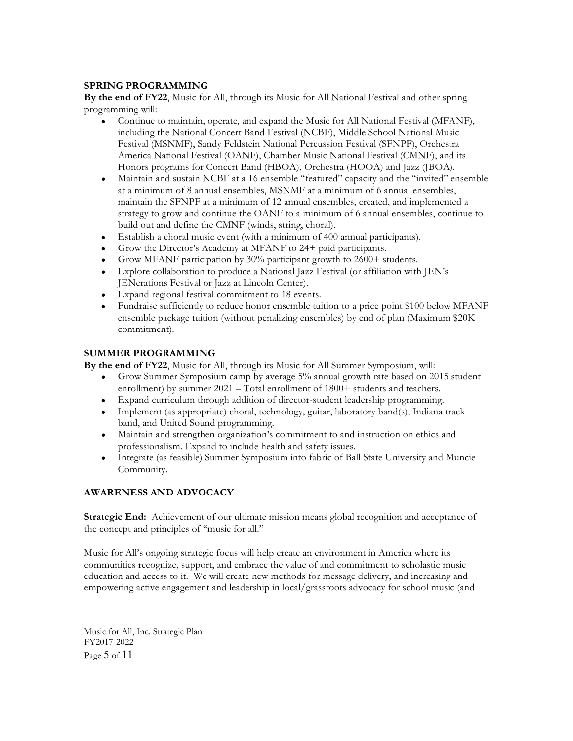## **SPRING PROGRAMMING**

**By the end of FY22**, Music for All, through its Music for All National Festival and other spring programming will:

- Continue to maintain, operate, and expand the Music for All National Festival (MFANF), including the National Concert Band Festival (NCBF), Middle School National Music Festival (MSNMF), Sandy Feldstein National Percussion Festival (SFNPF), Orchestra America National Festival (OANF), Chamber Music National Festival (CMNF), and its Honors programs for Concert Band (HBOA), Orchestra (HOOA) and Jazz (JBOA).
- Maintain and sustain NCBF at a 16 ensemble "featured" capacity and the "invited" ensemble at a minimum of 8 annual ensembles, MSNMF at a minimum of 6 annual ensembles, maintain the SFNPF at a minimum of 12 annual ensembles, created, and implemented a strategy to grow and continue the OANF to a minimum of 6 annual ensembles, continue to build out and define the CMNF (winds, string, choral).
- Establish a choral music event (with a minimum of 400 annual participants).
- Grow the Director's Academy at MFANF to 24+ paid participants.
- Grow MFANF participation by 30% participant growth to 2600+ students.
- Explore collaboration to produce a National Jazz Festival (or affiliation with JEN's JENerations Festival or Jazz at Lincoln Center).
- Expand regional festival commitment to 18 events.
- Fundraise sufficiently to reduce honor ensemble tuition to a price point \$100 below MFANF ensemble package tuition (without penalizing ensembles) by end of plan (Maximum \$20K commitment).

## **SUMMER PROGRAMMING**

**By the end of FY22**, Music for All, through its Music for All Summer Symposium, will:

- Grow Summer Symposium camp by average 5% annual growth rate based on 2015 student enrollment) by summer 2021 – Total enrollment of 1800+ students and teachers.
- Expand curriculum through addition of director-student leadership programming.
- Implement (as appropriate) choral, technology, guitar, laboratory band(s), Indiana track band, and United Sound programming.
- Maintain and strengthen organization's commitment to and instruction on ethics and professionalism. Expand to include health and safety issues.
- Integrate (as feasible) Summer Symposium into fabric of Ball State University and Muncie Community.

# **AWARENESS AND ADVOCACY**

**Strategic End:** Achievement of our ultimate mission means global recognition and acceptance of the concept and principles of "music for all."

Music for All's ongoing strategic focus will help create an environment in America where its communities recognize, support, and embrace the value of and commitment to scholastic music education and access to it. We will create new methods for message delivery, and increasing and empowering active engagement and leadership in local/grassroots advocacy for school music (and

Music for All, Inc. Strategic Plan FY2017-2022 Page 5 of 11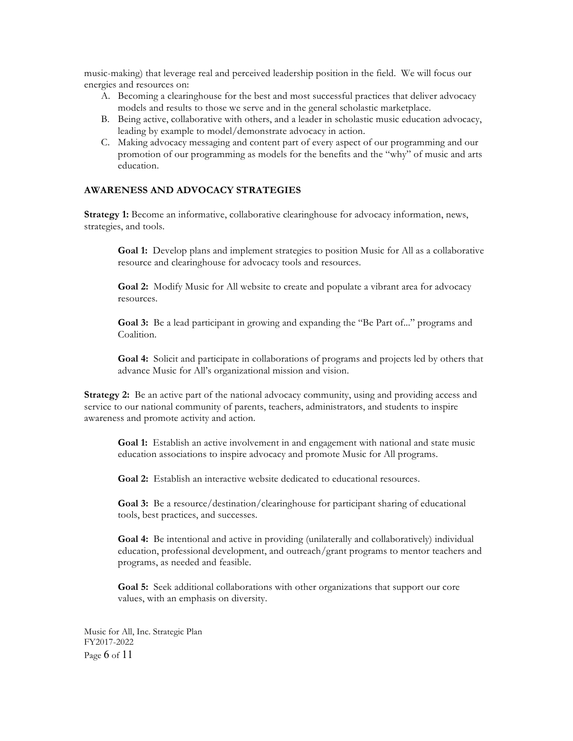music-making) that leverage real and perceived leadership position in the field. We will focus our energies and resources on:

- A. Becoming a clearinghouse for the best and most successful practices that deliver advocacy models and results to those we serve and in the general scholastic marketplace.
- B. Being active, collaborative with others, and a leader in scholastic music education advocacy, leading by example to model/demonstrate advocacy in action.
- C. Making advocacy messaging and content part of every aspect of our programming and our promotion of our programming as models for the benefits and the "why" of music and arts education.

## **AWARENESS AND ADVOCACY STRATEGIES**

**Strategy 1:** Become an informative, collaborative clearinghouse for advocacy information, news, strategies, and tools.

**Goal 1:** Develop plans and implement strategies to position Music for All as a collaborative resource and clearinghouse for advocacy tools and resources.

**Goal 2:** Modify Music for All website to create and populate a vibrant area for advocacy resources.

**Goal 3:** Be a lead participant in growing and expanding the "Be Part of..." programs and Coalition.

**Goal 4:** Solicit and participate in collaborations of programs and projects led by others that advance Music for All's organizational mission and vision.

**Strategy 2:** Be an active part of the national advocacy community, using and providing access and service to our national community of parents, teachers, administrators, and students to inspire awareness and promote activity and action.

**Goal 1:** Establish an active involvement in and engagement with national and state music education associations to inspire advocacy and promote Music for All programs.

**Goal 2:** Establish an interactive website dedicated to educational resources.

**Goal 3:** Be a resource/destination/clearinghouse for participant sharing of educational tools, best practices, and successes.

**Goal 4:** Be intentional and active in providing (unilaterally and collaboratively) individual education, professional development, and outreach/grant programs to mentor teachers and programs, as needed and feasible.

**Goal 5:** Seek additional collaborations with other organizations that support our core values, with an emphasis on diversity.

Music for All, Inc. Strategic Plan FY2017-2022 Page 6 of 11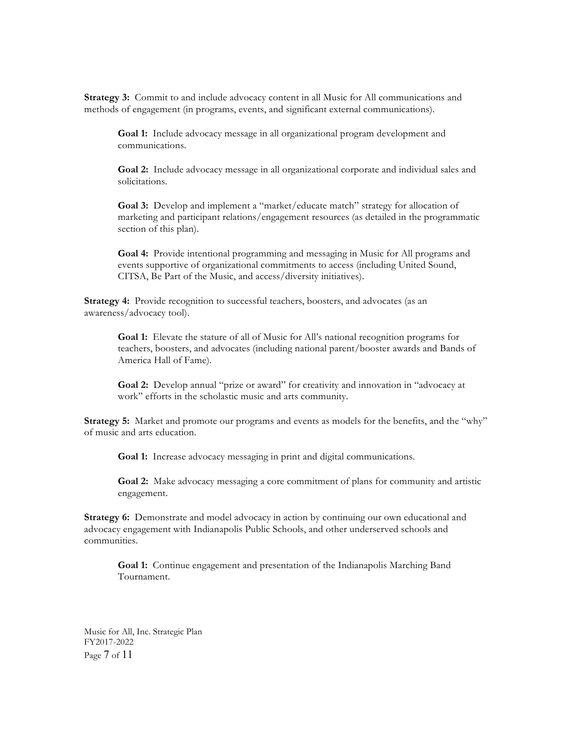**Strategy 3:** Commit to and include advocacy content in all Music for All communications and methods of engagement (in programs, events, and significant external communications).

**Goal 1:** Include advocacy message in all organizational program development and communications.

**Goal 2:** Include advocacy message in all organizational corporate and individual sales and solicitations.

**Goal 3:** Develop and implement a "market/educate match" strategy for allocation of marketing and participant relations/engagement resources (as detailed in the programmatic section of this plan).

**Goal 4:** Provide intentional programming and messaging in Music for All programs and events supportive of organizational commitments to access (including United Sound, CITSA, Be Part of the Music, and access/diversity initiatives).

**Strategy 4:** Provide recognition to successful teachers, boosters, and advocates (as an awareness/advocacy tool).

**Goal 1:** Elevate the stature of all of Music for All's national recognition programs for teachers, boosters, and advocates (including national parent/booster awards and Bands of America Hall of Fame).

**Goal 2:** Develop annual "prize or award" for creativity and innovation in "advocacy at work" efforts in the scholastic music and arts community.

**Strategy 5:** Market and promote our programs and events as models for the benefits, and the "why" of music and arts education.

**Goal 1:** Increase advocacy messaging in print and digital communications.

**Goal 2:** Make advocacy messaging a core commitment of plans for community and artistic engagement.

**Strategy 6:** Demonstrate and model advocacy in action by continuing our own educational and advocacy engagement with Indianapolis Public Schools, and other underserved schools and communities.

**Goal 1:** Continue engagement and presentation of the Indianapolis Marching Band Tournament.

Music for All, Inc. Strategic Plan FY2017-2022 Page 7 of 11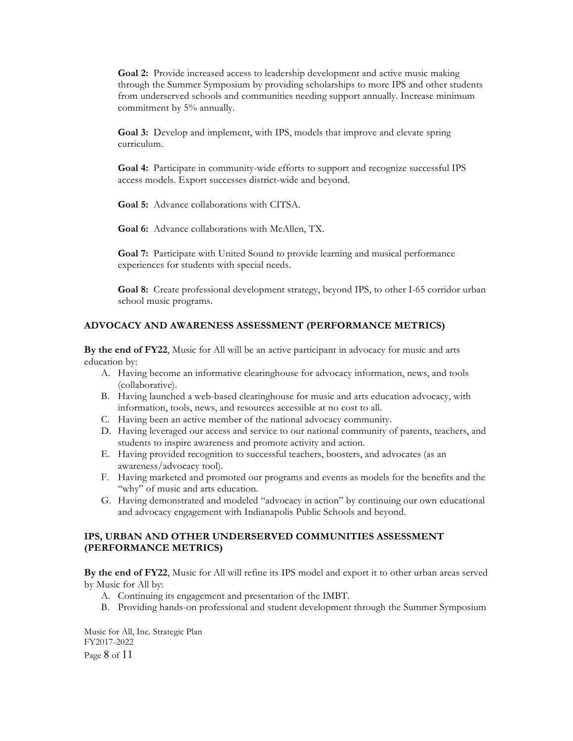**Goal 2:** Provide increased access to leadership development and active music making through the Summer Symposium by providing scholarships to more IPS and other students from underserved schools and communities needing support annually. Increase minimum commitment by 5% annually.

**Goal 3:** Develop and implement, with IPS, models that improve and elevate spring curriculum.

**Goal 4:** Participate in community-wide efforts to support and recognize successful IPS access models. Export successes district-wide and beyond.

**Goal 5:** Advance collaborations with CITSA.

**Goal 6:** Advance collaborations with McAllen, TX.

**Goal 7:** Participate with United Sound to provide learning and musical performance experiences for students with special needs.

**Goal 8:** Create professional development strategy, beyond IPS, to other I-65 corridor urban school music programs.

#### **ADVOCACY AND AWARENESS ASSESSMENT (PERFORMANCE METRICS)**

**By the end of FY22**, Music for All will be an active participant in advocacy for music and arts education by:

- A. Having become an informative clearinghouse for advocacy information, news, and tools (collaborative).
- B. Having launched a web-based clearinghouse for music and arts education advocacy, with information, tools, news, and resources accessible at no cost to all.
- C. Having been an active member of the national advocacy community.
- D. Having leveraged our access and service to our national community of parents, teachers, and students to inspire awareness and promote activity and action.
- E. Having provided recognition to successful teachers, boosters, and advocates (as an awareness/advocacy tool).
- F. Having marketed and promoted our programs and events as models for the benefits and the "why" of music and arts education.
- G. Having demonstrated and modeled "advocacy in action" by continuing our own educational and advocacy engagement with Indianapolis Public Schools and beyond.

## **IPS, URBAN AND OTHER UNDERSERVED COMMUNITIES ASSESSMENT (PERFORMANCE METRICS)**

**By the end of FY22**, Music for All will refine its IPS model and export it to other urban areas served by Music for All by:

- A. Continuing its engagement and presentation of the IMBT.
- B. Providing hands-on professional and student development through the Summer Symposium

Music for All, Inc. Strategic Plan FY2017-2022 Page 8 of 11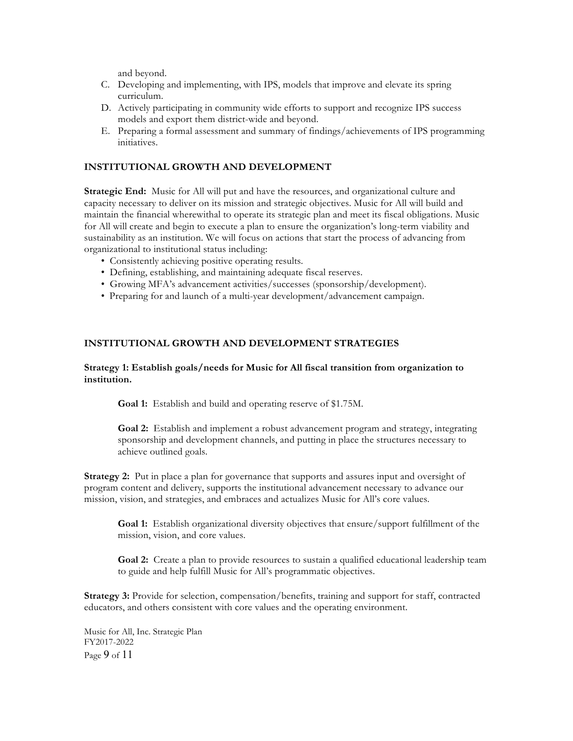and beyond.

- C. Developing and implementing, with IPS, models that improve and elevate its spring curriculum.
- D. Actively participating in community wide efforts to support and recognize IPS success models and export them district-wide and beyond.
- E. Preparing a formal assessment and summary of findings/achievements of IPS programming initiatives.

## **INSTITUTIONAL GROWTH AND DEVELOPMENT**

**Strategic End:** Music for All will put and have the resources, and organizational culture and capacity necessary to deliver on its mission and strategic objectives. Music for All will build and maintain the financial wherewithal to operate its strategic plan and meet its fiscal obligations. Music for All will create and begin to execute a plan to ensure the organization's long-term viability and sustainability as an institution. We will focus on actions that start the process of advancing from organizational to institutional status including:

- Consistently achieving positive operating results.
- Defining, establishing, and maintaining adequate fiscal reserves.
- Growing MFA's advancement activities/successes (sponsorship/development).
- Preparing for and launch of a multi-year development/advancement campaign.

#### **INSTITUTIONAL GROWTH AND DEVELOPMENT STRATEGIES**

#### **Strategy 1: Establish goals/needs for Music for All fiscal transition from organization to institution.**

**Goal 1:** Establish and build and operating reserve of \$1.75M.

**Goal 2:** Establish and implement a robust advancement program and strategy, integrating sponsorship and development channels, and putting in place the structures necessary to achieve outlined goals.

**Strategy 2:** Put in place a plan for governance that supports and assures input and oversight of program content and delivery, supports the institutional advancement necessary to advance our mission, vision, and strategies, and embraces and actualizes Music for All's core values.

**Goal 1:** Establish organizational diversity objectives that ensure/support fulfillment of the mission, vision, and core values.

**Goal 2:** Create a plan to provide resources to sustain a qualified educational leadership team to guide and help fulfill Music for All's programmatic objectives.

**Strategy 3:** Provide for selection, compensation/benefits, training and support for staff, contracted educators, and others consistent with core values and the operating environment.

Music for All, Inc. Strategic Plan FY2017-2022 Page 9 of 11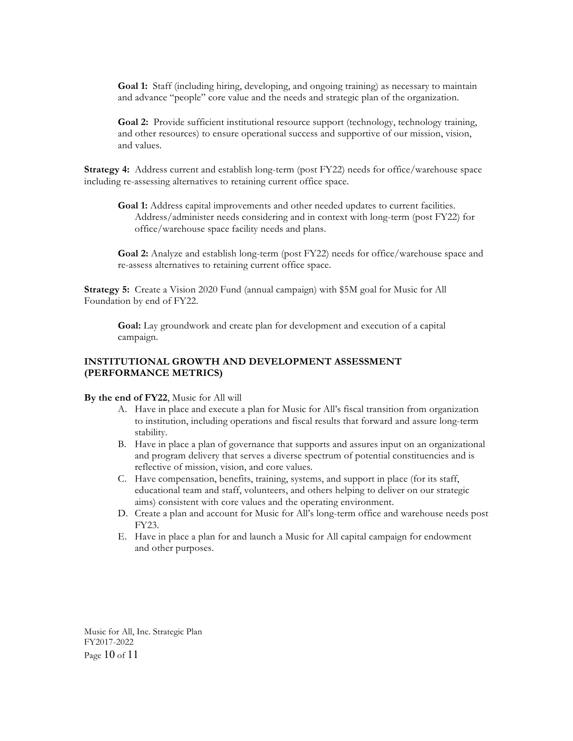**Goal 1:** Staff (including hiring, developing, and ongoing training) as necessary to maintain and advance "people" core value and the needs and strategic plan of the organization.

**Goal 2:** Provide sufficient institutional resource support (technology, technology training, and other resources) to ensure operational success and supportive of our mission, vision, and values.

**Strategy 4:** Address current and establish long-term (post FY22) needs for office/warehouse space including re-assessing alternatives to retaining current office space.

**Goal 1:** Address capital improvements and other needed updates to current facilities. Address/administer needs considering and in context with long-term (post FY22) for office/warehouse space facility needs and plans.

**Goal 2:** Analyze and establish long-term (post FY22) needs for office/warehouse space and re-assess alternatives to retaining current office space.

**Strategy 5:** Create a Vision 2020 Fund (annual campaign) with \$5M goal for Music for All Foundation by end of FY22.

**Goal:** Lay groundwork and create plan for development and execution of a capital campaign.

## **INSTITUTIONAL GROWTH AND DEVELOPMENT ASSESSMENT (PERFORMANCE METRICS)**

**By the end of FY22**, Music for All will

- A. Have in place and execute a plan for Music for All's fiscal transition from organization to institution, including operations and fiscal results that forward and assure long-term stability.
- B. Have in place a plan of governance that supports and assures input on an organizational and program delivery that serves a diverse spectrum of potential constituencies and is reflective of mission, vision, and core values.
- C. Have compensation, benefits, training, systems, and support in place (for its staff, educational team and staff, volunteers, and others helping to deliver on our strategic aims) consistent with core values and the operating environment.
- D. Create a plan and account for Music for All's long-term office and warehouse needs post FY23.
- E. Have in place a plan for and launch a Music for All capital campaign for endowment and other purposes.

Music for All, Inc. Strategic Plan FY2017-2022 Page 10 of 11